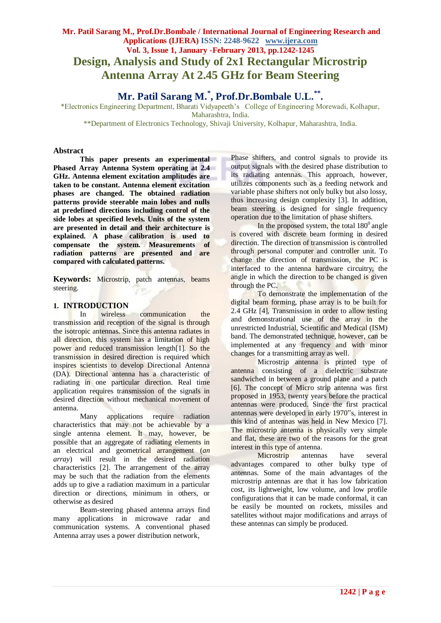# **Mr. Patil Sarang M., Prof.Dr.Bombale / International Journal of Engineering Research and Applications (IJERA) ISSN: 2248-9622 www.ijera.com Vol. 3, Issue 1, January -February 2013, pp.1242-1245 Design, Analysis and Study of 2x1 Rectangular Microstrip Antenna Array At 2.45 GHz for Beam Steering**

# **Mr. Patil Sarang M.\* , Prof.Dr.Bombale U.L.\*\* .**

\*Electronics Engineering Department, Bharati Vidyapeeth's College of Engineering Morewadi, Kolhapur, Maharashtra, India.

\*\*Department of Electronics Technology, Shivaji University, Kolhapur, Maharashtra, India.

#### **Abstract**

**This paper presents an experimental Phased Array Antenna System operating at 2.4 GHz. Antenna element excitation amplitudes are taken to be constant. Antenna element excitation phases are changed. The obtained radiation patterns provide steerable main lobes and nulls at predefined directions including control of the side lobes at specified levels. Units of the system are presented in detail and their architecture is explained. A phase calibration is used to compensate the system. Measurements of radiation patterns are presented and are compared with calculated patterns.**

**Keywords:** Microstrip, patch antennas, beams steering.

#### **1. INTRODUCTION**

In wireless communication the transmission and reception of the signal is through the isotropic antennas. Since this antenna radiates in all direction, this system has a limitation of high power and reduced transmission length[1]. So the transmission in desired direction is required which inspires scientists to develop Directional Antenna (DA). Directional antenna has a characteristic of radiating in one particular direction. Real time application requires transmission of the signals in desired direction without mechanical movement of antenna.

Many applications require radiation characteristics that may not be achievable by a single antenna element. It may, however, be possible that an aggregate of radiating elements in an electrical and geometrical arrangement (*an array*) will result in the desired radiation characteristics [2]. The arrangement of the array may be such that the radiation from the elements adds up to give a radiation maximum in a particular direction or directions, minimum in others, or otherwise as desired

Beam-steering phased antenna arrays find many applications in microwave radar and communication systems. A conventional phased Antenna array uses a power distribution network,

Phase shifters, and control signals to provide its output signals with the desired phase distribution to its radiating antennas. This approach, however, utilizes components such as a feeding network and variable phase shifters not only bulky but also lossy, thus increasing design complexity [3]. In addition, beam steering is designed for single frequency operation due to the limitation of phase shifters.

In the proposed system, the total  $180^\circ$  angle is covered with discrete beam forming in desired direction. The direction of transmission is controlled through personal computer and controller unit. To change the direction of transmission, the PC is interfaced to the antenna hardware circuitry, the angle in which the direction to be changed is given through the PC.

To demonstrate the implementation of the digital beam forming, phase array is to be built for 2.4 GHz [4], Transmission in order to allow testing and demonstrational use of the array in the unrestricted Industrial, Scientific and Medical (ISM) band. The demonstrated technique, however, can be implemented at any frequency and with minor changes for a transmitting array as well.

Microstrip antenna is printed type of antenna consisting of a dielectric substrate sandwiched in between a ground plane and a patch [6]. The concept of Micro strip antenna was first proposed in 1953, twenty years before the practical antennas were produced. Since the first practical antennas were developed in early 1970"s, interest in this kind of antennas was held in New Mexico [7]. The microstrip antenna is physically very simple and flat, these are two of the reasons for the great interest in this type of antenna.

Microstrip antennas have several advantages compared to other bulky type of antennas. Some of the main advantages of the microstrip antennas are that it has low fabrication cost, its lightweight, low volume, and low profile configurations that it can be made conformal, it can be easily be mounted on rockets, missiles and satellites without major modifications and arrays of these antennas can simply be produced.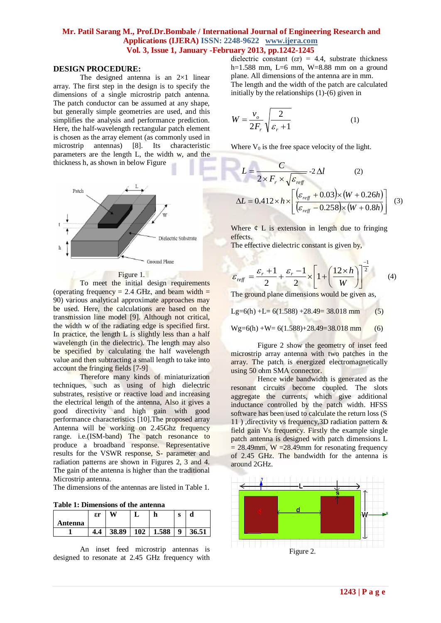### **Mr. Patil Sarang M., Prof.Dr.Bombale / International Journal of Engineering Research and Applications (IJERA) ISSN: 2248-9622 www.ijera.com Vol. 3, Issue 1, January -February 2013, pp.1242-1245**

#### **DESIGN PROCEDURE:**

The designed antenna is an  $2\times1$  linear array. The first step in the design is to specify the dimensions of a single microstrip patch antenna. The patch conductor can be assumed at any shape, but generally simple geometries are used, and this simplifies the analysis and performance prediction. Here, the half-wavelength rectangular patch element is chosen as the array element (as commonly used in microstrip antennas) [8]. Its characteristic parameters are the length L, the width w, and the thickness h, as shown in below Figure



#### Figure 1.

To meet the initial design requirements (operating frequency = 2.4 GHz, and beam width  $=$ 90) various analytical approximate approaches may be used. Here, the calculations are based on the transmission line model [9]. Although not critical, the width w of the radiating edge is specified first. In practice, the length  $L$  is slightly less than a half wavelength (in the dielectric). The length may also be specified by calculating the half wavelength value and then subtracting a small length to take into account the fringing fields [7-9]

Therefore many kinds of miniaturization techniques, such as using of high dielectric substrates, resistive or reactive load and increasing the electrical length of the antenna, Also it gives a good directivity and high gain with good performance characteristics [10]. The proposed array Antenna will be working on 2.45Ghz frequency range. i.e.(ISM-band) The patch resonance to produce a broadband response. Representative results for the VSWR response, S- parameter and radiation patterns are shown in Figures 2, 3 and 4. The gain of the antenna is higher than the traditional Microstrip antenna.

The dimensions of the antennas are listed in Table 1.

| <b>Table 1: Dimensions of the antenna</b> |  |
|-------------------------------------------|--|
|-------------------------------------------|--|

|         | $\epsilon$ r |       | ш                |       | $\sim$<br>o |       |
|---------|--------------|-------|------------------|-------|-------------|-------|
| Antenna |              |       |                  |       |             |       |
|         | 4.4          | 38.89 | 102 <sub>1</sub> | 1.588 | q           | 36.51 |

An inset feed microstrip antennas is designed to resonate at 2.45 GHz frequency with dielectric constant ( $\varepsilon$ r) = 4.4, substrate thickness h=1.588 mm, L=6 mm, W=8.88 mm on a ground plane. All dimensions of the antenna are in mm. The length and the width of the patch are calculated initially by the relationships (1)-(6) given in

$$
W = \frac{v_o}{2F_r} \sqrt{\frac{2}{\varepsilon_r + 1}}
$$
 (1)

Where  $V_0$  is the free space velocity of the light.

$$
L = \frac{C}{2 \times F_r \times \sqrt{\varepsilon_{refr}}} - 2 \Delta l \qquad (2)
$$

$$
\Delta L = 0.412 \times h \times \left[ \frac{(\varepsilon_{refr} + 0.03) \times (W + 0.26h)}{(\varepsilon_{refr} - 0.258) \times (W + 0.8h)} \right] \quad (3)
$$

Where  $\phi$  L is extension in length due to fringing effects. - 2

The effective dielectric constant is given by,

$$
\varepsilon_{ref} = \frac{\varepsilon_r + 1}{2} + \frac{\varepsilon_r - 1}{2} \times \left[ 1 + \left( \frac{12 \times h}{W} \right) \right]^{\frac{-1}{2}} \tag{4}
$$

The ground plane dimensions would be given as,

Lg=6(h) +L=  $6(1.588)$  +28.49= 38.018 mm (5)

$$
Wg=6(h) + W= 6(1.588) + 28.49 = 38.018 \text{ mm}
$$
 (6)

Figure 2 show the geometry of inset feed microstrip array antenna with two patches in the array. The patch is energized electromagnetically using 50 ohm SMA connector.

Hence wide bandwidth is generated as the resonant circuits become coupled. The slots aggregate the currents, which give additional inductance controlled by the patch width. HFSS software has been used to calculate the return loss (S 11 ) ,directivity vs frequency,3D radiation pattern & field gain Vs frequency. Firstly the example single patch antenna is designed with patch dimensions L  $= 28.49$ mm, W  $= 28.49$ mm for resonating frequency of 2.45 GHz. The bandwidth for the antenna is around 2GHz.

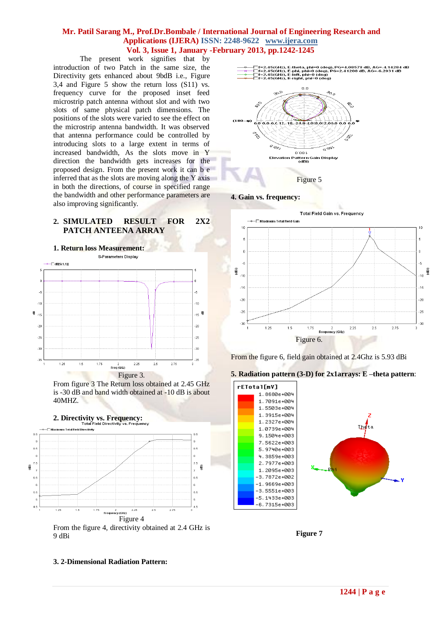# **Mr. Patil Sarang M., Prof.Dr.Bombale / International Journal of Engineering Research and Applications (IJERA) ISSN: 2248-9622 www.ijera.com Vol. 3, Issue 1, January -February 2013, pp.1242-1245**

The present work signifies that by introduction of two Patch in the same size, the Directivity gets enhanced about 9bdB i.e., Figure 3,4 and Figure 5 show the return loss (S11) vs. frequency curve for the proposed inset feed microstrip patch antenna without slot and with two slots of same physical patch dimensions. The positions of the slots were varied to see the effect on the microstrip antenna bandwidth. It was observed that antenna performance could be controlled by introducing slots to a large extent in terms of increased bandwidth, As the slots move in Y direction the bandwidth gets increases for the proposed design. From the present work it can b e inferred that as the slots are moving along the Y axis in both the directions, of course in specified range the bandwidth and other performance parameters are also improving significantly.

# **2. SIMULATED RESULT FOR 2X2 PATCH ANTEENA ARRAY**



From figure 3 The Return loss obtained at 2.45 GHz is -30 dB and band width obtained at -10 dB is about 40MHZ.



9 dBi



**4. Gain vs. frequency:**



From the figure 6, field gain obtained at 2.4Ghz is 5.93 dBi





**Figure 7**

#### **3. 2-Dimensional Radiation Pattern:**